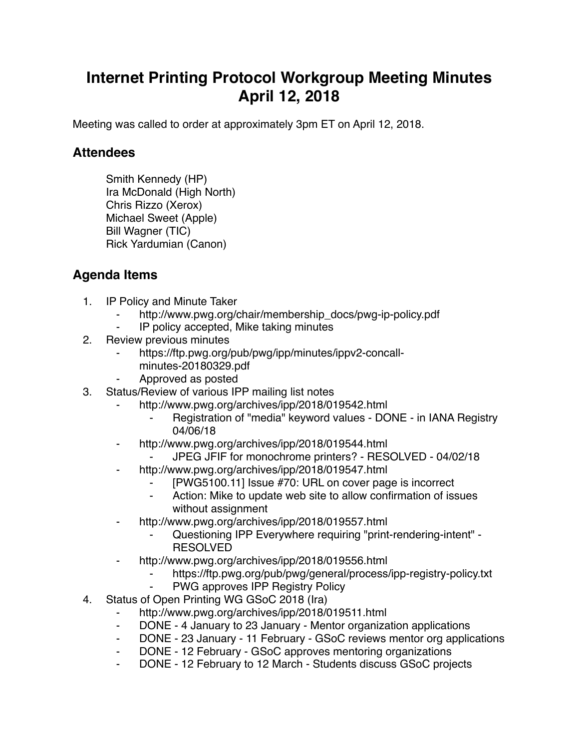## **Internet Printing Protocol Workgroup Meeting Minutes April 12, 2018**

Meeting was called to order at approximately 3pm ET on April 12, 2018.

## **Attendees**

Smith Kennedy (HP) Ira McDonald (High North) Chris Rizzo (Xerox) Michael Sweet (Apple) Bill Wagner (TIC) Rick Yardumian (Canon)

## **Agenda Items**

- 1. IP Policy and Minute Taker
	- http://www.pwg.org/chair/membership\_docs/pwg-ip-policy.pdf
	- IP policy accepted, Mike taking minutes
- 2. Review previous minutes
	- https://ftp.pwg.org/pub/pwg/ipp/minutes/ippv2-concallminutes-20180329.pdf
	- ⁃ Approved as posted
- 3. Status/Review of various IPP mailing list notes
	- http://www.pwg.org/archives/ipp/2018/019542.html
		- Registration of "media" keyword values DONE in IANA Registry 04/06/18
	- ⁃ http://www.pwg.org/archives/ipp/2018/019544.html
		- ⁃ JPEG JFIF for monochrome printers? RESOLVED 04/02/18
	- ⁃ http://www.pwg.org/archives/ipp/2018/019547.html
		- [PWG5100.11] Issue #70: URL on cover page is incorrect
		- Action: Mike to update web site to allow confirmation of issues without assignment
	- http://www.pwg.org/archives/ipp/2018/019557.html
		- ⁃ Questioning IPP Everywhere requiring "print-rendering-intent" RESOLVED
	- ⁃ http://www.pwg.org/archives/ipp/2018/019556.html
		- https://ftp.pwg.org/pub/pwg/general/process/ipp-registry-policy.txt
		- ⁃ PWG approves IPP Registry Policy
- 4. Status of Open Printing WG GSoC 2018 (Ira)
	- http://www.pwg.org/archives/ipp/2018/019511.html
	- ⁃ DONE 4 January to 23 January Mentor organization applications
	- ⁃ DONE 23 January 11 February GSoC reviews mentor org applications
	- DONE 12 February GSoC approves mentoring organizations
	- ⁃ DONE 12 February to 12 March Students discuss GSoC projects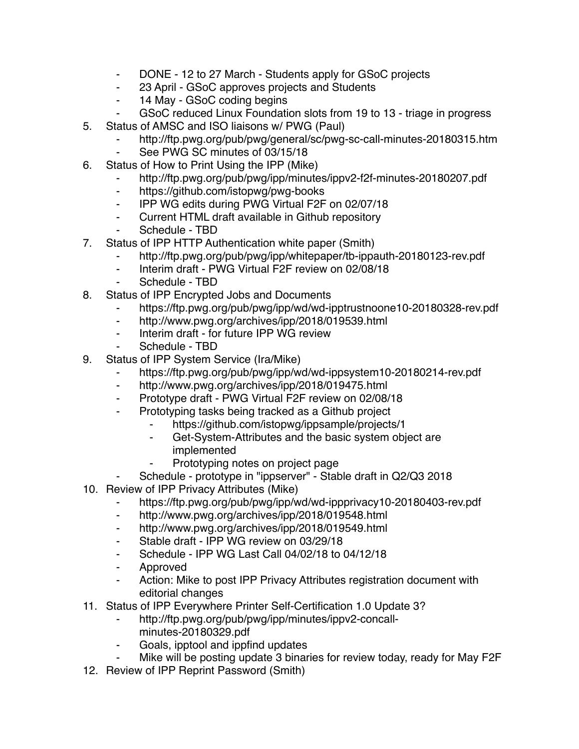- ⁃ DONE 12 to 27 March Students apply for GSoC projects
- ⁃ 23 April GSoC approves projects and Students
- ⁃ 14 May GSoC coding begins
- GSoC reduced Linux Foundation slots from 19 to 13 triage in progress
- 5. Status of AMSC and ISO liaisons w/ PWG (Paul)
	- ⁃ http://ftp.pwg.org/pub/pwg/general/sc/pwg-sc-call-minutes-20180315.htm
	- See PWG SC minutes of 03/15/18
- 6. Status of How to Print Using the IPP (Mike)
	- http://ftp.pwg.org/pub/pwg/ipp/minutes/ippv2-f2f-minutes-20180207.pdf
	- ⁃ https://github.com/istopwg/pwg-books
	- ⁃ IPP WG edits during PWG Virtual F2F on 02/07/18
	- ⁃ Current HTML draft available in Github repository
	- Schedule TBD
- 7. Status of IPP HTTP Authentication white paper (Smith)
	- ⁃ http://ftp.pwg.org/pub/pwg/ipp/whitepaper/tb-ippauth-20180123-rev.pdf
	- ⁃ Interim draft PWG Virtual F2F review on 02/08/18
	- Schedule TBD
- 8. Status of IPP Encrypted Jobs and Documents
	- https://ftp.pwg.org/pub/pwg/ipp/wd/wd-ipptrustnoone10-20180328-rev.pdf
	- ⁃ http://www.pwg.org/archives/ipp/2018/019539.html
	- ⁃ Interim draft for future IPP WG review
	- Schedule TBD
- 9. Status of IPP System Service (Ira/Mike)
	- ⁃ https://ftp.pwg.org/pub/pwg/ipp/wd/wd-ippsystem10-20180214-rev.pdf
	- ⁃ http://www.pwg.org/archives/ipp/2018/019475.html
	- ⁃ Prototype draft PWG Virtual F2F review on 02/08/18
	- ⁃ Prototyping tasks being tracked as a Github project
		- https://github.com/istopwg/ippsample/projects/1
		- Get-System-Attributes and the basic system object are implemented
		- Prototyping notes on project page
		- Schedule prototype in "ippserver" Stable draft in Q2/Q3 2018
- 10. Review of IPP Privacy Attributes (Mike)
	- https://ftp.pwg.org/pub/pwg/ipp/wd/wd-ippprivacy10-20180403-rev.pdf
	- ⁃ http://www.pwg.org/archives/ipp/2018/019548.html
	- ⁃ http://www.pwg.org/archives/ipp/2018/019549.html
	- ⁃ Stable draft IPP WG review on 03/29/18
	- ⁃ Schedule IPP WG Last Call 04/02/18 to 04/12/18
	- ⁃ Approved
	- ⁃ Action: Mike to post IPP Privacy Attributes registration document with editorial changes
- 11. Status of IPP Everywhere Printer Self-Certification 1.0 Update 3?
	- http://ftp.pwg.org/pub/pwg/ipp/minutes/ippv2-concallminutes-20180329.pdf
	- ⁃ Goals, ipptool and ippfind updates
	- Mike will be posting update 3 binaries for review today, ready for May F2F
- 12. Review of IPP Reprint Password (Smith)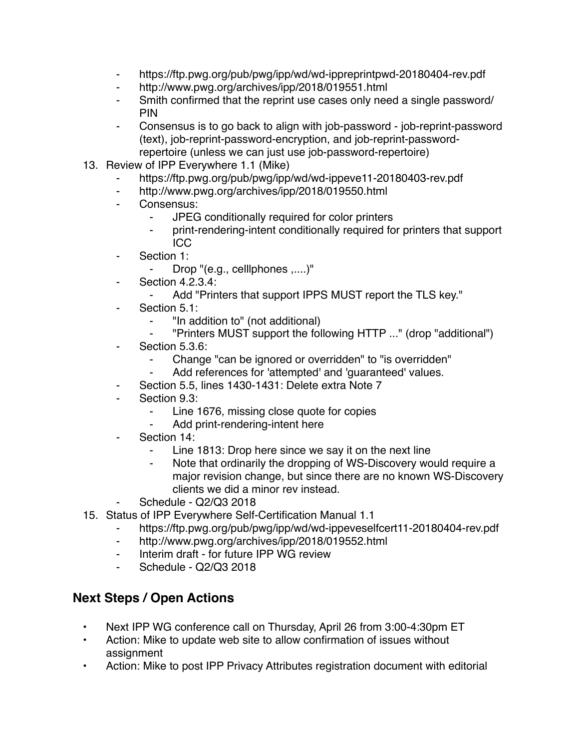- ⁃ https://ftp.pwg.org/pub/pwg/ipp/wd/wd-ippreprintpwd-20180404-rev.pdf
- ⁃ http://www.pwg.org/archives/ipp/2018/019551.html
- ⁃ Smith confirmed that the reprint use cases only need a single password/ PIN
- ⁃ Consensus is to go back to align with job-password job-reprint-password (text), job-reprint-password-encryption, and job-reprint-passwordrepertoire (unless we can just use job-password-repertoire)
- 13. Review of IPP Everywhere 1.1 (Mike)
	- https://ftp.pwg.org/pub/pwg/ipp/wd/wd-ippeve11-20180403-rev.pdf
	- ⁃ http://www.pwg.org/archives/ipp/2018/019550.html
	- ⁃ Consensus:
		- ⁃ JPEG conditionally required for color printers
		- ⁃ print-rendering-intent conditionally required for printers that support ICC
	- ⁃ Section 1:
		- Drop "(e.g., celllphones ,....)"
	- Section 4.2.3.4:
		- ⁃ Add "Printers that support IPPS MUST report the TLS key."
		- Section 5.1:
			- ⁃ "In addition to" (not additional)
			- ⁃ "Printers MUST support the following HTTP ..." (drop "additional")
	- Section 5.3.6:
		- Change "can be ignored or overridden" to "is overridden"
		- ⁃ Add references for 'attempted' and 'guaranteed' values.
	- Section 5.5, lines 1430-1431: Delete extra Note 7
	- Section 9.3:
		- ⁃ Line 1676, missing close quote for copies
		- ⁃ Add print-rendering-intent here
	- Section 14:
		- Line 1813: Drop here since we say it on the next line
		- ⁃ Note that ordinarily the dropping of WS-Discovery would require a major revision change, but since there are no known WS-Discovery clients we did a minor rev instead.
	- ⁃ Schedule Q2/Q3 2018
- 15. Status of IPP Everywhere Self-Certification Manual 1.1
	- https://ftp.pwg.org/pub/pwg/ipp/wd/wd-ippeveselfcert11-20180404-rev.pdf
	- ⁃ http://www.pwg.org/archives/ipp/2018/019552.html
	- Interim draft for future IPP WG review
	- Schedule Q2/Q3 2018

## **Next Steps / Open Actions**

- Next IPP WG conference call on Thursday, April 26 from 3:00-4:30pm ET
- Action: Mike to update web site to allow confirmation of issues without assignment
- Action: Mike to post IPP Privacy Attributes registration document with editorial